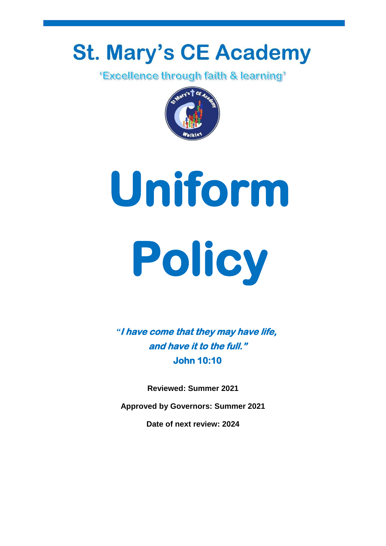# **St. Mary's CE Academy**

*'Excellence through faith & learning'* 



**Uniform Policy** 

*"***I have come that they may have life, and have it to the full." John 10:10** 

**Reviewed: Summer 2021**

**Approved by Governors: Summer 2021**

**Date of next review: 2024**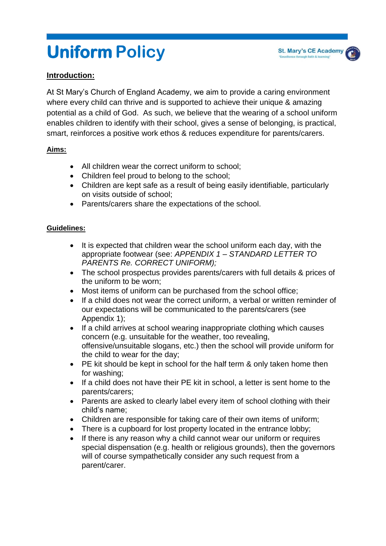# **Uniform Policy**

# **Introduction:**

At St Mary's Church of England Academy, we aim to provide a caring environment where every child can thrive and is supported to achieve their unique & amazing potential as a child of God. As such, we believe that the wearing of a school uniform enables children to identify with their school, gives a sense of belonging, is practical, smart, reinforces a positive work ethos & reduces expenditure for parents/carers.

#### **Aims:**

- All children wear the correct uniform to school;
- Children feel proud to belong to the school;
- Children are kept safe as a result of being easily identifiable, particularly on visits outside of school;
- Parents/carers share the expectations of the school.

#### **Guidelines:**

- It is expected that children wear the school uniform each day, with the appropriate footwear (see: *APPENDIX 1 – STANDARD LETTER TO PARENTS Re. CORRECT UNIFORM);*
- The school prospectus provides parents/carers with full details & prices of the uniform to be worn;
- Most items of uniform can be purchased from the school office;
- If a child does not wear the correct uniform, a verbal or written reminder of our expectations will be communicated to the parents/carers (see Appendix 1);
- If a child arrives at school wearing inappropriate clothing which causes concern (e.g. unsuitable for the weather, too revealing, offensive/unsuitable slogans, etc.) then the school will provide uniform for the child to wear for the day;
- PE kit should be kept in school for the half term & only taken home then for washing;
- If a child does not have their PE kit in school, a letter is sent home to the parents/carers;
- Parents are asked to clearly label every item of school clothing with their child's name;
- Children are responsible for taking care of their own items of uniform;
- There is a cupboard for lost property located in the entrance lobby;
- If there is any reason why a child cannot wear our uniform or requires special dispensation (e.g. health or religious grounds), then the governors will of course sympathetically consider any such request from a parent/carer.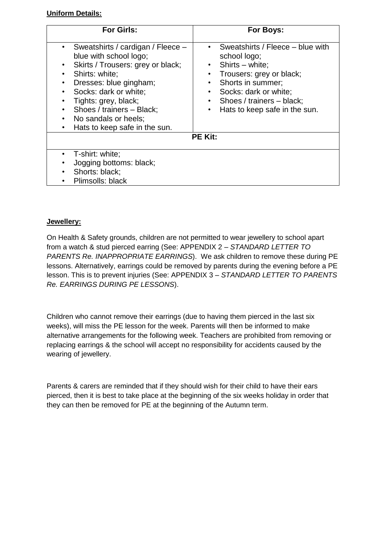#### **Uniform Details:**

| <b>For Girls:</b>                                                                                                                                                               | For Boys:                                                                                                                                                                                |
|---------------------------------------------------------------------------------------------------------------------------------------------------------------------------------|------------------------------------------------------------------------------------------------------------------------------------------------------------------------------------------|
| Sweatshirts / cardigan / Fleece -<br>blue with school logo;<br>Skirts / Trousers: grey or black;                                                                                | Sweatshirts / Fleece – blue with<br>$\bullet$<br>school logo;<br>Shirts - white;<br>$\bullet$                                                                                            |
| Shirts: white;<br>Dresses: blue gingham;<br>Socks: dark or white;<br>Tights: grey, black;<br>Shoes / trainers - Black;<br>No sandals or heels;<br>Hats to keep safe in the sun. | Trousers: grey or black;<br>Shorts in summer;<br>$\bullet$<br>Socks: dark or white;<br>$\bullet$<br>Shoes / trainers - black;<br>$\bullet$<br>Hats to keep safe in the sun.<br>$\bullet$ |
| <b>PE Kit:</b>                                                                                                                                                                  |                                                                                                                                                                                          |
| T-shirt: white;                                                                                                                                                                 |                                                                                                                                                                                          |
| Jogging bottoms: black;<br>Shorts: black;                                                                                                                                       |                                                                                                                                                                                          |
| Plimsolls: black                                                                                                                                                                |                                                                                                                                                                                          |

#### **Jewellery:**

On Health & Safety grounds, children are not permitted to wear jewellery to school apart from a watch & stud pierced earring (See: APPENDIX 2 – *STANDARD LETTER TO PARENTS Re. INAPPROPRIATE EARRINGS*). We ask children to remove these during PE lessons. Alternatively, earrings could be removed by parents during the evening before a PE lesson. This is to prevent injuries (See: APPENDIX 3 – *STANDARD LETTER TO PARENTS Re. EARRINGS DURING PE LESSONS*).

Children who cannot remove their earrings (due to having them pierced in the last six weeks), will miss the PE lesson for the week. Parents will then be informed to make alternative arrangements for the following week. Teachers are prohibited from removing or replacing earrings & the school will accept no responsibility for accidents caused by the wearing of jewellery.

Parents & carers are reminded that if they should wish for their child to have their ears pierced, then it is best to take place at the beginning of the six weeks holiday in order that they can then be removed for PE at the beginning of the Autumn term.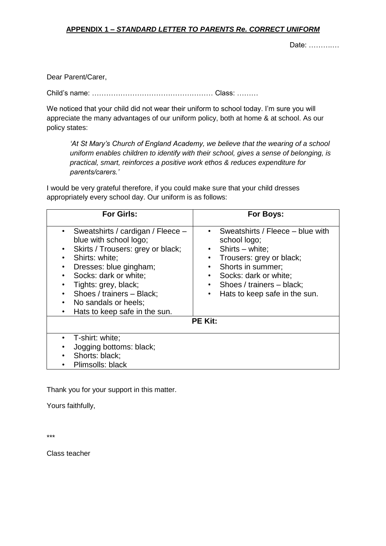#### **APPENDIX 1** *– STANDARD LETTER TO PARENTS Re. CORRECT UNIFORM*

Date: ……….…

Dear Parent/Carer,

Child's name: …………………………………………… Class: ………

We noticed that your child did not wear their uniform to school today. I'm sure you will appreciate the many advantages of our uniform policy, both at home & at school. As our policy states:

*'At St Mary's Church of England Academy, we believe that the wearing of a school uniform enables children to identify with their school, gives a sense of belonging, is practical, smart, reinforces a positive work ethos & reduces expenditure for parents/carers.'*

I would be very grateful therefore, if you could make sure that your child dresses appropriately every school day. Our uniform is as follows:

| <b>For Girls:</b>                                                                                                                                                                                                                                                                                                            | For Boys:                                                                                                                                                                                                                                                              |
|------------------------------------------------------------------------------------------------------------------------------------------------------------------------------------------------------------------------------------------------------------------------------------------------------------------------------|------------------------------------------------------------------------------------------------------------------------------------------------------------------------------------------------------------------------------------------------------------------------|
| Sweatshirts / cardigan / Fleece -<br>$\bullet$<br>blue with school logo;<br>Skirts / Trousers: grey or black;<br>٠<br>Shirts: white;<br>Dresses: blue gingham;<br>Socks: dark or white;<br>٠<br>Tights: grey, black;<br>Shoes / trainers - Black;<br>$\bullet$<br>No sandals or heels;<br>Hats to keep safe in the sun.<br>٠ | Sweatshirts / Fleece – blue with<br>٠<br>school logo;<br>Shirts - white;<br>$\bullet$<br>Trousers: grey or black;<br>٠<br>Shorts in summer;<br>$\bullet$<br>Socks: dark or white;<br>٠<br>Shoes / trainers - black;<br>$\bullet$<br>Hats to keep safe in the sun.<br>٠ |
| <b>PE Kit:</b>                                                                                                                                                                                                                                                                                                               |                                                                                                                                                                                                                                                                        |
| T-shirt: white;<br>٠<br>Jogging bottoms: black;<br>Shorts: black;<br>Plimsolls: black<br>٠                                                                                                                                                                                                                                   |                                                                                                                                                                                                                                                                        |

Thank you for your support in this matter.

Yours faithfully,

\*\*\*

Class teacher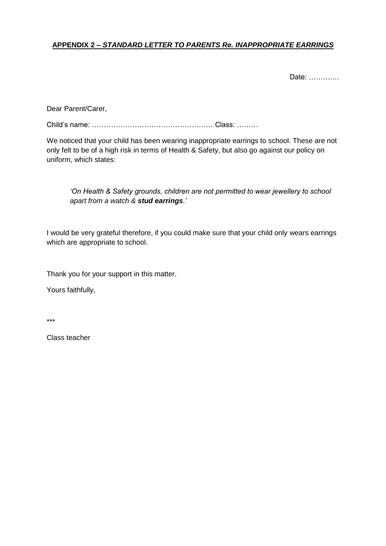# **APPENDIX 2 –** *STANDARD LETTER TO PARENTS Re. INAPPROPRIATE EARRINGS*

Date: ……….…

Dear Parent/Carer,

Child's name: …………………………………………… Class: ………

We noticed that your child has been wearing inappropriate earrings to school. These are not only felt to be of a high risk in terms of Health & Safety, but also go against our policy on uniform, which states:

*'On Health & Safety grounds, children are not permitted to wear jewellery to school apart from a watch & stud earrings.'*

I would be very grateful therefore, if you could make sure that your child only wears earrings which are appropriate to school.

Thank you for your support in this matter.

Yours faithfully,

\*\*\*

Class teacher